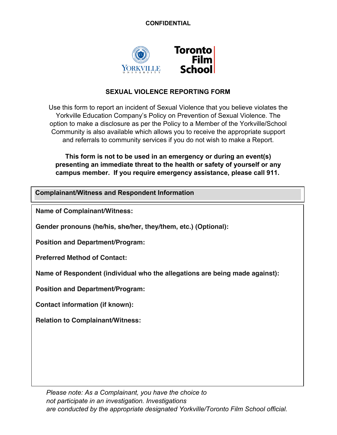### **CONFIDENTIAL**



# **SEXUAL VIOLENCE REPORTING FORM**

Use this form to report an incident of Sexual Violence that you believe violates the Yorkville Education Company's Policy on Prevention of Sexual Violence. The option to make a disclosure as per the Policy to a Member of the Yorkville/School Community is also available which allows you to receive the appropriate support and referrals to community services if you do not wish to make a Report.

**This form is not to be used in an emergency or during an event(s) presenting an immediate threat to the health or safety of yourself or any campus member. If you require emergency assistance, please call 911.**

**Complainant/Witness and Respondent Information**

**Name of Complainant/Witness:** 

**Gender pronouns (he/his, she/her, they/them, etc.) (Optional):**

**Position and Department/Program:** 

**Preferred Method of Contact:** 

**Name of Respondent (individual who the allegations are being made against):** 

**Position and Department/Program:**

**Contact information (if known):** 

**Relation to Complainant/Witness:**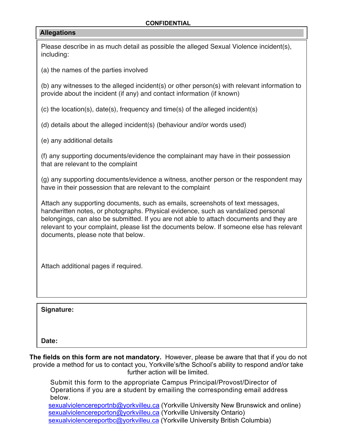#### **CONFIDENTIAL**

#### **Allegations**

Please describe in as much detail as possible the alleged Sexual Violence incident(s), including:

(a) the names of the parties involved

(b) any witnesses to the alleged incident(s) or other person(s) with relevant information to provide about the incident (if any) and contact information (if known)

(c) the location(s), date(s), frequency and time(s) of the alleged incident(s)

(d) details about the alleged incident(s) (behaviour and/or words used)

(e) any additional details

(f) any supporting documents/evidence the complainant may have in their possession that are relevant to the complaint

(g) any supporting documents/evidence a witness, another person or the respondent may have in their possession that are relevant to the complaint

Attach any supporting documents, such as emails, screenshots of text messages, handwritten notes, or photographs. Physical evidence, such as vandalized personal belongings, can also be submitted. If you are not able to attach documents and they are relevant to your complaint, please list the documents below. If someone else has relevant documents, please note that below.

Attach additional pages if required.

**Signature:**

**Date:**

**The fields on this form are not mandatory.** However, please be aware that that if you do not provide a method for us to contact you, Yorkville's/the School's ability to respond and/or take further action will be limited.

Submit this form to the appropriate Campus Principal/Provost/Director of Operations if you are a student by emailing the corresponding email address below.

sexualviolencereportnb@yorkvilleu.ca (Yorkville University New Brunswick and online) sexualviolencereporton@yorkvilleu.ca (Yorkville University Ontario) sexualviolencereportbc@yorkvilleu.ca (Yorkville University British Columbia)